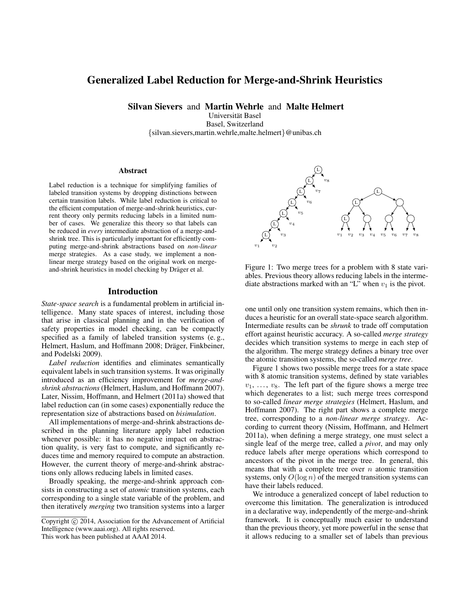# Generalized Label Reduction for Merge-and-Shrink Heuristics

Silvan Sievers and Martin Wehrle and Malte Helmert

Universitat Basel ¨

Basel, Switzerland {silvan.sievers,martin.wehrle,malte.helmert}@unibas.ch

#### Abstract

Label reduction is a technique for simplifying families of labeled transition systems by dropping distinctions between certain transition labels. While label reduction is critical to the efficient computation of merge-and-shrink heuristics, current theory only permits reducing labels in a limited number of cases. We generalize this theory so that labels can be reduced in *every* intermediate abstraction of a merge-andshrink tree. This is particularly important for efficiently computing merge-and-shrink abstractions based on *non-linear* merge strategies. As a case study, we implement a nonlinear merge strategy based on the original work on mergeand-shrink heuristics in model checking by Dräger et al.

#### Introduction

*State-space search* is a fundamental problem in artificial intelligence. Many state spaces of interest, including those that arise in classical planning and in the verification of safety properties in model checking, can be compactly specified as a family of labeled transition systems (e. g., Helmert, Haslum, and Hoffmann 2008; Dräger, Finkbeiner, and Podelski 2009).

*Label reduction* identifies and eliminates semantically equivalent labels in such transition systems. It was originally introduced as an efficiency improvement for *merge-andshrink abstractions*(Helmert, Haslum, and Hoffmann 2007). Later, Nissim, Hoffmann, and Helmert (2011a) showed that label reduction can (in some cases) exponentially reduce the representation size of abstractions based on *bisimulation*.

All implementations of merge-and-shrink abstractions described in the planning literature apply label reduction whenever possible: it has no negative impact on abstraction quality, is very fast to compute, and significantly reduces time and memory required to compute an abstraction. However, the current theory of merge-and-shrink abstractions only allows reducing labels in limited cases.

Broadly speaking, the merge-and-shrink approach consists in constructing a set of *atomic* transition systems, each corresponding to a single state variable of the problem, and then iteratively *merging* two transition systems into a larger



Figure 1: Two merge trees for a problem with 8 state variables. Previous theory allows reducing labels in the intermediate abstractions marked with an "L" when  $v_1$  is the pivot.

one until only one transition system remains, which then induces a heuristic for an overall state-space search algorithm. Intermediate results can be *shrunk* to trade off computation effort against heuristic accuracy. A so-called *merge strategy* decides which transition systems to merge in each step of the algorithm. The merge strategy defines a binary tree over the atomic transition systems, the so-called *merge tree*.

Figure 1 shows two possible merge trees for a state space with 8 atomic transition systems, defined by state variables  $v_1, \ldots, v_8$ . The left part of the figure shows a merge tree which degenerates to a list; such merge trees correspond to so-called *linear merge strategies* (Helmert, Haslum, and Hoffmann 2007). The right part shows a complete merge tree, corresponding to a *non-linear merge strategy*. According to current theory (Nissim, Hoffmann, and Helmert 2011a), when defining a merge strategy, one must select a single leaf of the merge tree, called a *pivot*, and may only reduce labels after merge operations which correspond to ancestors of the pivot in the merge tree. In general, this means that with a complete tree over  $n$  atomic transition systems, only  $O(\log n)$  of the merged transition systems can have their labels reduced.

We introduce a generalized concept of label reduction to overcome this limitation. The generalization is introduced in a declarative way, independently of the merge-and-shrink framework. It is conceptually much easier to understand than the previous theory, yet more powerful in the sense that it allows reducing to a smaller set of labels than previous

Copyright © 2014, Association for the Advancement of Artificial Intelligence (www.aaai.org). All rights reserved. This work has been published at AAAI 2014.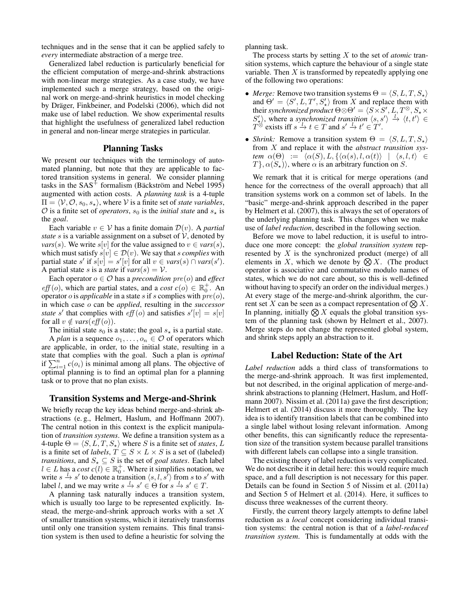techniques and in the sense that it can be applied safely to *every* intermediate abstraction of a merge tree.

Generalized label reduction is particularly beneficial for the efficient computation of merge-and-shrink abstractions with non-linear merge strategies. As a case study, we have implemented such a merge strategy, based on the original work on merge-and-shrink heuristics in model checking by Dräger, Finkbeiner, and Podelski (2006), which did not make use of label reduction. We show experimental results that highlight the usefulness of generalized label reduction in general and non-linear merge strategies in particular.

# Planning Tasks

We present our techniques with the terminology of automated planning, but note that they are applicable to factored transition systems in general. We consider planning tasks in the  $SAS<sup>+</sup>$  formalism (Bäckström and Nebel 1995) augmented with action costs. A *planning task* is a 4-tuple  $\Pi = \langle V, O, s_0, s_* \rangle$ , where V is a finite set of *state variables*,  $\mathcal O$  is a finite set of *operators*,  $s_0$  is the *initial state* and  $s_{\star}$  is the *goal*.

Each variable  $v \in V$  has a finite domain  $\mathcal{D}(v)$ . A *partial state* s is a variable assignment on a subset of  $V$ , denoted by *vars*(*s*). We write  $s[v]$  for the value assigned to  $v \in vars(s)$ , which must satisfy  $s[v] \in \mathcal{D}(v)$ . We say that s *complies* with partial state s' if  $s[v] = s'[v]$  for all  $v \in vars(s) \cap vars(s')$ . A partial state *s* is a *state* if  $vars(s) = V$ .

Each operator  $o \in \mathcal{O}$  has a *precondition*  $pre(o)$  and *effect*  $\textit{eff}(o)$ , which are partial states, and a *cost*  $c(o) \in \mathbb{R}^+_0$ . An operator *o* is *applicable* in a state *s* if *s* complies with  $pre(o)$ , in which case o can be *applied*, resulting in the *successor state* s' that complies with  $\hat{eff}(o)$  and satisfies  $s'[v] = s[v]$ for all  $v \notin vars(eff(o))$ .

The initial state  $s_0$  is a state; the goal  $s_{\star}$  is a partial state.

A *plan* is a sequence  $o_1, \ldots, o_n \in \mathcal{O}$  of operators which are applicable, in order, to the initial state, resulting in a state that complies with the goal. Such a plan is *optimal* if  $\sum_{i=1}^{n} c(o_i)$  is minimal among all plans. The objective of optimal planning is to find an optimal plan for a planning task or to prove that no plan exists.

# Transition Systems and Merge-and-Shrink

We briefly recap the key ideas behind merge-and-shrink abstractions (e. g., Helmert, Haslum, and Hoffmann 2007). The central notion in this context is the explicit manipulation of *transition systems*. We define a transition system as a 4-tuple  $\Theta = \langle S, L, T, S_{\star} \rangle$  where S is a finite set of *states*, L is a finite set of *labels*,  $T \subseteq S \times L \times S$  is a set of (labeled) *transitions*, and  $S_{\star} \subseteq S$  is the set of *goal states*. Each label  $l \in L$  has a *cost*  $c(l) \in \mathbb{R}^+_0$ . Where it simplifies notation, we write  $s \xrightarrow{l} s'$  to denote a transition  $\langle s, l, s' \rangle$  from s to s' with label *l*, and we may write  $s \stackrel{l}{\rightarrow} s' \in \Theta$  for  $s \stackrel{l}{\rightarrow} s' \in T$ .

A planning task naturally induces a transition system, which is usually too large to be represented explicitly. Instead, the merge-and-shrink approach works with a set X of smaller transition systems, which it iteratively transforms until only one transition system remains. This final transition system is then used to define a heuristic for solving the planning task.

The process starts by setting X to the set of *atomic* transition systems, which capture the behaviour of a single state variable. Then  $X$  is transformed by repeatedly applying one of the following two operations:

- *Merge:* Remove two transition systems  $\Theta = \langle S, L, T, S_{\star} \rangle$ and  $\Theta' = \langle S', L, T', S'_{\star} \rangle$  from X and replace them with their *synchronized product*  $\Theta \otimes \Theta' = \langle S \times S', L, T^\otimes, S_\star \times \Theta \rangle$  $S'_{\star}$ ), where a *synchronized transition*  $\langle s, s' \rangle \stackrel{l}{\to} \langle t, t' \rangle \in$  $T^{\otimes}$  exists iff  $s \stackrel{l}{\rightarrow} t \in T$  and  $s' \stackrel{l}{\rightarrow} t' \in T'$ .
- *Shrink:* Remove a transition system  $\Theta = \langle S, L, T, S_{\star} \rangle$ from X and replace it with the *abstract transition system*  $\alpha(\Theta) := \langle \alpha(S), L, \{ \langle \alpha(s), l, \alpha(t) \rangle \mid \langle s, l, t \rangle \in$  $T\}, \alpha(S_{\star})\rangle$ , where  $\alpha$  is an arbitrary function on S.

We remark that it is critical for merge operations (and hence for the correctness of the overall approach) that all transition systems work on a common set of labels. In the "basic" merge-and-shrink approach described in the paper by Helmert et al. (2007), this is always the set of operators of the underlying planning task. This changes when we make use of *label reduction*, described in the following section.

Before we move to label reduction, it is useful to introduce one more concept: the *global transition system* represented by  $X$  is the synchronized product (merge) of all elements in X, which we denote by  $\bigotimes X$ . (The product operator is associative and commutative modulo names of states, which we do not care about, so this is well-defined without having to specify an order on the individual merges.) At every stage of the merge-and-shrink algorithm, the current set X can be seen as a compact representation of  $\bigotimes X$ . In planning, initially  $\bigotimes X$  equals the global transition system of the planning task (shown by Helmert et al., 2007). Merge steps do not change the represented global system, and shrink steps apply an abstraction to it.

### Label Reduction: State of the Art

*Label reduction* adds a third class of transformations to the merge-and-shrink approach. It was first implemented, but not described, in the original application of merge-andshrink abstractions to planning (Helmert, Haslum, and Hoffmann 2007). Nissim et al. (2011a) gave the first description; Helmert et al. (2014) discuss it more thoroughly. The key idea is to identify transition labels that can be combined into a single label without losing relevant information. Among other benefits, this can significantly reduce the representation size of the transition system because parallel transitions with different labels can collapse into a single transition.

The existing theory of label reduction is very complicated. We do not describe it in detail here: this would require much space, and a full description is not necessary for this paper. Details can be found in Section 5 of Nissim et al. (2011a) and Section 5 of Helmert et al. (2014). Here, it suffices to discuss three weaknesses of the current theory.

Firstly, the current theory largely attempts to define label reduction as a *local* concept considering individual transition systems: the central notion is that of a *label-reduced transition system*. This is fundamentally at odds with the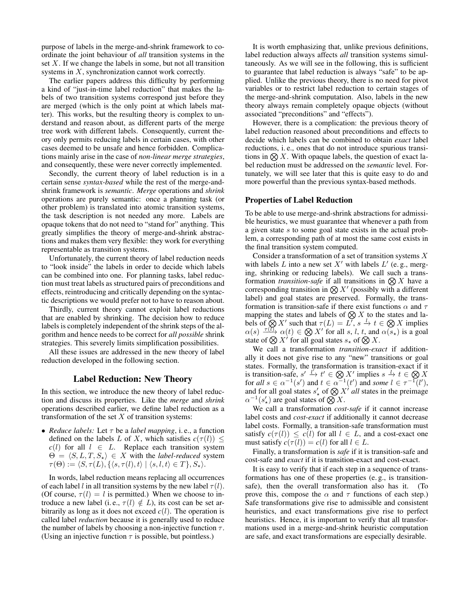purpose of labels in the merge-and-shrink framework to coordinate the joint behaviour of *all* transition systems in the set  $X$ . If we change the labels in some, but not all transition systems in X, synchronization cannot work correctly.

The earlier papers address this difficulty by performing a kind of "just-in-time label reduction" that makes the labels of two transition systems correspond just before they are merged (which is the only point at which labels matter). This works, but the resulting theory is complex to understand and reason about, as different parts of the merge tree work with different labels. Consequently, current theory only permits reducing labels in certain cases, with other cases deemed to be unsafe and hence forbidden. Complications mainly arise in the case of *non-linear merge strategies*, and consequently, these were never correctly implemented.

Secondly, the current theory of label reduction is in a certain sense *syntax-based* while the rest of the merge-andshrink framework is *semantic*. *Merge* operations and *shrink* operations are purely semantic: once a planning task (or other problem) is translated into atomic transition systems, the task description is not needed any more. Labels are opaque tokens that do not need to "stand for" anything. This greatly simplifies the theory of merge-and-shrink abstractions and makes them very flexible: they work for everything representable as transition systems.

Unfortunately, the current theory of label reduction needs to "look inside" the labels in order to decide which labels can be combined into one. For planning tasks, label reduction must treat labels as structured pairs of preconditions and effects, reintroducing and critically depending on the syntactic descriptions we would prefer not to have to reason about.

Thirdly, current theory cannot exploit label reductions that are enabled by shrinking. The decision how to reduce labels is completely independent of the shrink steps of the algorithm and hence needs to be correct for *all possible* shrink strategies. This severely limits simplification possibilities.

All these issues are addressed in the new theory of label reduction developed in the following section.

# Label Reduction: New Theory

In this section, we introduce the new theory of label reduction and discuss its properties. Like the *merge* and *shrink* operations described earlier, we define label reduction as a transformation of the set  $X$  of transition systems:

• *Reduce labels:* Let  $\tau$  be a *label mapping*, i.e., a function defined on the labels L of X, which satisfies  $c(\tau(l)) \leq$  $c(l)$  for all  $l \in L$ . Replace each transition system  $\Theta = \langle S, L, T, S_{\star} \rangle \in X$  with the *label-reduced* system  $\tau(\Theta) := \langle S, \tau(L), \{ \langle s, \tau(l), t \rangle \mid \langle s, l, t \rangle \in T \}, S_{\star} \rangle.$ 

In words, label reduction means replacing all occurrences of each label l in all transition systems by the new label  $\tau(l)$ . (Of course,  $\tau(l) = l$  is permitted.) When we choose to introduce a new label (i. e.,  $\tau(l) \notin L$ ), its cost can be set arbitrarily as long as it does not exceed  $c(l)$ . The operation is called label *reduction* because it is generally used to reduce the number of labels by choosing a non-injective function  $\tau$ . (Using an injective function  $\tau$  is possible, but pointless.)

It is worth emphasizing that, unlike previous definitions, label reduction always affects *all* transition systems simultaneously. As we will see in the following, this is sufficient to guarantee that label reduction is always "safe" to be applied. Unlike the previous theory, there is no need for pivot variables or to restrict label reduction to certain stages of the merge-and-shrink computation. Also, labels in the new theory always remain completely opaque objects (without associated "preconditions" and "effects").

However, there is a complication: the previous theory of label reduction reasoned about preconditions and effects to decide which labels can be combined to obtain *exact* label reductions, i. e., ones that do not introduce spurious transitions in  $\otimes X$ . With opaque labels, the question of exact label reduction must be addressed on the *semantic* level. Fortunately, we will see later that this is quite easy to do and more powerful than the previous syntax-based methods.

#### Properties of Label Reduction

To be able to use merge-and-shrink abstractions for admissible heuristics, we must guarantee that whenever a path from a given state s to some goal state exists in the actual problem, a corresponding path of at most the same cost exists in the final transition system computed.

Consider a transformation of a set of transition systems X with labels L into a new set  $X'$  with labels  $L'$  (e.g., merging, shrinking or reducing labels). We call such a transformation *transition-safe* if all transitions in  $\mathcal{R}$  X have a corresponding transition in  $\bigotimes X'$  (possibly with a different label) and goal states are preserved. Formally, the transformation is transition-safe if there exist functions  $\alpha$  and  $\tau$ mapping the states and labels of  $\bigotimes X$  to the states and labels of  $\bigotimes X'$  such that  $\tau(L) = L'$ ,  $s \xrightarrow{l} t \in \bigotimes X$  implies  $\alpha(s) \xrightarrow{\tau(\overline{U})} \alpha(t) \in \bigotimes X'$  for all s, l, t, and  $\alpha(s_\star)$  is a goal state of  $\bigotimes X^i$  for all goal states  $s_{\star}$  of  $\bigotimes X$ .

We call a transformation *transition-exact* if additionally it does not give rise to any "new" transitions or goal states. Formally, the transformation is transition-exact if it is transition-safe,  $s' \stackrel{l'}{\rightarrow} t' \in \bigotimes X'$  implies  $s \stackrel{l}{\rightarrow} t \in \bigotimes X$ for all  $s \in \alpha^{-1}(s')$  and  $t \in \alpha^{-1}(t')$  and some  $l \in \tau^{-1}(l')$ , and for all goal states  $s'_*$  of  $\bigotimes X^{\dagger}$  *all* states in the preimage  $\alpha^{-1}(s'_\star)$  are goal states of  $\bigotimes X$ .

We call a transformation *cost-safe* if it cannot increase label costs and *cost-exact* if additionally it cannot decrease label costs. Formally, a transition-safe transformation must satisfy  $c(\tau(l)) \leq c(l)$  for all  $l \in L$ , and a cost-exact one must satisfy  $c(\tau(l)) = c(l)$  for all  $l \in L$ .

Finally, a transformation is *safe* if it is transition-safe and cost-safe and *exact* if it is transition-exact and cost-exact.

It is easy to verify that if each step in a sequence of transformations has one of these properties (e. g., is transitionsafe), then the overall transformation also has it. (To prove this, compose the  $\alpha$  and  $\tau$  functions of each step.) Safe transformations give rise to admissible and consistent heuristics, and exact transformations give rise to perfect heuristics. Hence, it is important to verify that all transformations used in a merge-and-shrink heuristic computation are safe, and exact transformations are especially desirable.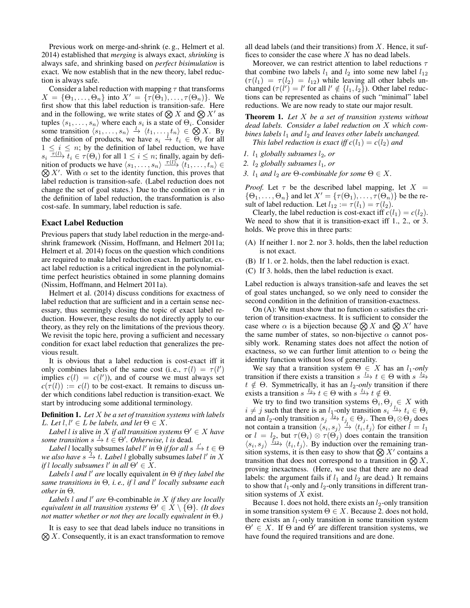Previous work on merge-and-shrink (e. g., Helmert et al. 2014) established that *merging* is always exact, *shrinking* is always safe, and shrinking based on *perfect bisimulation* is exact. We now establish that in the new theory, label reduction is always safe.

Consider a label reduction with mapping  $\tau$  that transforms  $X = {\Theta_1, \ldots, \Theta_n}$  into  $X' = {\tau(\Theta_1), \ldots, \tau(\Theta_n)}$ . We first show that this label reduction is transition-safe. Here and in the following, we write states of  $\bigotimes X$  and  $\bigotimes X'$  as tuples  $\langle s_1, \ldots, s_n \rangle$  where each  $s_i$  is a state of  $\Theta_i$ . Consider some transition  $\langle s_1, \ldots, s_n \rangle \stackrel{l}{\rightarrow} \langle t_1, \ldots, t_n \rangle \in \bigotimes X$ . By the definition of products, we have  $s_i \stackrel{i}{\rightarrow} t_i \in \Theta_i$  for all  $1 \leq i \leq n$ ; by the definition of label reduction, we have  $s_i \overline{f(t)}$ ,  $\overline{t}_i \in \tau(\Theta_i)$  for all  $1 \leq i \leq n$ ; finally, again by definition of products we have  $\langle s_1, \ldots, s_n \rangle \stackrel{\tau(l)}{\longrightarrow} \langle t_1, \ldots, t_n \rangle \in$  $\bigotimes X'$ . With  $\alpha$  set to the identity function, this proves that label reduction is transition-safe. (Label reduction does not change the set of goal states.) Due to the condition on  $\tau$  in the definition of label reduction, the transformation is also cost-safe. In summary, label reduction is safe.

#### Exact Label Reduction

Previous papers that study label reduction in the merge-andshrink framework (Nissim, Hoffmann, and Helmert 2011a; Helmert et al. 2014) focus on the question which conditions are required to make label reduction exact. In particular, exact label reduction is a critical ingredient in the polynomialtime perfect heuristics obtained in some planning domains (Nissim, Hoffmann, and Helmert 2011a).

Helmert et al. (2014) discuss conditions for exactness of label reduction that are sufficient and in a certain sense necessary, thus seemingly closing the topic of exact label reduction. However, these results do not directly apply to our theory, as they rely on the limitations of the previous theory. We revisit the topic here, proving a sufficient and necessary condition for exact label reduction that generalizes the previous result.

It is obvious that a label reduction is cost-exact iff it only combines labels of the same cost (i.e.,  $\tau(l) = \tau(l')$ implies  $c(l) = c(l')$ , and of course we must always set  $c(\tau(l)) := c(l)$  to be cost-exact. It remains to discuss under which conditions label reduction is transition-exact. We start by introducing some additional terminology.

Definition 1. *Let* X *be a set of transition systems with labels L.* Let  $l, l' \in L$  be labels, and let  $\Theta \in X$ .

*Label l is* alive *in X if all transition systems*  $\Theta' \in X$  *have some transition*  $s \stackrel{l}{\rightarrow} t \in \Theta'$ . *Otherwise*, *l is* dead.

*Label l* locally subsumes *label l'* in  $\Theta$  *if for all*  $s \xrightarrow{l'} t \in \Theta$ we also have  $s \xrightarrow{7} t$ . Label l globally subsumes *label* l' in X *if* l locally subsumes l' in all  $\Theta' \in X$ .

*Labels* l *and* l <sup>0</sup> *are* locally equivalent *in* Θ *if they label the same transitions in* Θ*, i. e., if* l *and* l 0 *locally subsume each other in* Θ*.*

*Labels* l *and* l <sup>0</sup> *are* Θ-combinable *in* X *if they are locally equivalent in all transition systems*  $\Theta' \in X \setminus \{\Theta\}$ *. (It does not matter whether or not they are locally equivalent in* Θ*.)*

 $\bigotimes X$ . Consequently, it is an exact transformation to remove It is easy to see that dead labels induce no transitions in all dead labels (and their transitions) from  $X$ . Hence, it suffices to consider the case where  $X$  has no dead labels.

Moreover, we can restrict attention to label reductions  $\tau$ that combine two labels  $l_1$  and  $l_2$  into some new label  $l_{12}$  $(\tau(l_1) = \tau(l_2) = l_{12})$  while leaving all other labels unchanged  $(\tau(l') = l'$  for all  $l' \notin \{l_1, l_2\}$ ). Other label reductions can be represented as chains of such "minimal" label reductions. We are now ready to state our major result.

Theorem 1. *Let* X *be a set of transition systems without dead labels. Consider a label reduction on* X *which combines labels*  $l_1$  *and*  $l_2$  *and leaves other labels unchanged. This label reduction is exact iff*  $c(l_1) = c(l_2)$  *and* 

- *1.*  $l_1$  *globally subsumes*  $l_2$ *, or*
- 2.  $l_2$  *globally subsumes*  $l_1$ *, or*
- *3. l*<sub>1</sub> *and l*<sub>2</sub> *are*  $\Theta$ *-combinable for some*  $\Theta \in X$ *.*

*Proof.* Let  $\tau$  be the described label mapping, let  $X =$  $\{\Theta_1,\ldots,\Theta_n\}$  and let  $X' = \{\tau(\Theta_1),\ldots,\tau(\Theta_n)\}\$  be the result of label reduction. Let  $l_{12} := \tau(l_1) = \tau(l_2)$ .

Clearly, the label reduction is cost-exact iff  $c(l_1) = c(l_2)$ . We need to show that it is transition-exact iff 1., 2., or 3. holds. We prove this in three parts:

- (A) If neither 1. nor 2. nor 3. holds, then the label reduction is not exact.
- (B) If 1. or 2. holds, then the label reduction is exact.
- (C) If 3. holds, then the label reduction is exact.

Label reduction is always transition-safe and leaves the set of goal states unchanged, so we only need to consider the second condition in the definition of transition-exactness.

On (A): We must show that no function  $\alpha$  satisfies the criterion of transition-exactness. It is sufficient to consider the case where  $\alpha$  is a bijection because  $\bigotimes X$  and  $\bigotimes X'$  have the same number of states, so non-bijective  $\alpha$  cannot possibly work. Renaming states does not affect the notion of exactness, so we can further limit attention to  $\alpha$  being the identity function without loss of generality.

We say that a transition system  $\Theta \in X$  has an  $l_1$ *-only* transition if there exists a transition  $s \xrightarrow{l_1} t \in \Theta$  with  $s \xrightarrow{l_2}$  $t \notin \Theta$ . Symmetrically, it has an *l*<sub>2</sub>*-only* transition if there exists a transition  $s \xrightarrow{l_2} t \in \Theta$  with  $s \xrightarrow{l_1} t \notin \Theta$ .

We try to find two transition systems  $\Theta_i, \Theta_j \in X$  with  $i \neq j$  such that there is an  $l_1$ -only transition  $s_i \xrightarrow{l_1} t_i \in \Theta_i$ and an  $l_2$ -only transition  $s_j \xrightarrow{l_2} t_j \in \Theta_j$ . Then  $\Theta_i \otimes \Theta_j$  does not contain a transition  $\langle s_i, s_j \rangle \stackrel{\gamma}{\rightarrow} \langle t_i, t_j \rangle$  for either  $l = l_1$ or  $l = l_2$ , but  $\tau(\Theta_i) \otimes \tau(\Theta_j)$  does contain the transition  $\langle s_i, s_j \rangle \xrightarrow{I_{12}} \langle t_i, t_j \rangle$ . By induction over the remaining transition systems, it is then easy to show that  $\bigotimes X'$  contains a transition that does not correspond to a transition in  $\bigotimes X$ , proving inexactness. (Here, we use that there are no dead labels: the argument fails if  $l_1$  and  $l_2$  are dead.) It remains to show that  $l_1$ -only and  $l_2$ -only transitions in different transition systems of X exist.

Because 1. does not hold, there exists an  $l_2$ -only transition in some transition system  $\Theta \in X$ . Because 2. does not hold, there exists an  $l_1$ -only transition in some transition system  $\Theta' \in X$ . If  $\Theta$  and  $\Theta'$  are different transition systems, we have found the required transitions and are done.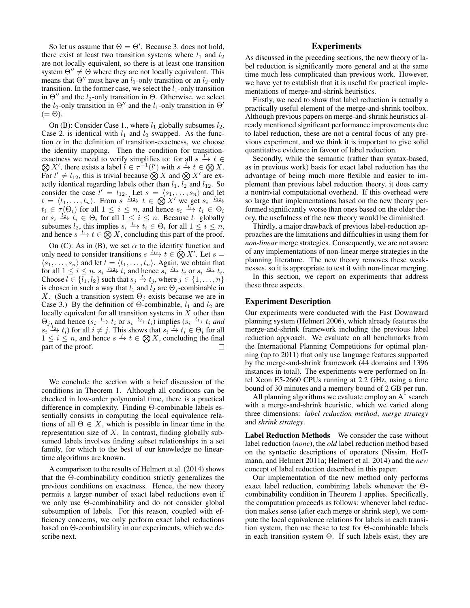So let us assume that  $\Theta = \Theta'$ . Because 3. does not hold, there exist at least two transition systems where  $l_1$  and  $l_2$ are not locally equivalent, so there is at least one transition system  $\Theta'' \neq \Theta$  where they are not locally equivalent. This means that  $\Theta''$  must have an  $l_1$ -only transition or an  $l_2$ -only transition. In the former case, we select the  $l_1$ -only transition in  $\Theta''$  and the  $l_2$ -only transition in  $\Theta$ . Otherwise, we select the  $l_2$ -only transition in  $\Theta''$  and the  $l_1$ -only transition in  $\Theta'$  $(=\Theta).$ 

On (B): Consider Case 1., where  $l_1$  globally subsumes  $l_2$ . Case 2. is identical with  $l_1$  and  $l_2$  swapped. As the function  $\alpha$  in the definition of transition-exactness, we choose the identity mapping. Then the condition for transitionexactness we need to verify simplifies to: for all  $s \stackrel{l'}{\rightarrow} t \in$  $\bigotimes X'$ , there exists a label  $l \in \tau^{-1}(l')$  with  $s \stackrel{l}{\to} t \in \bigotimes X$ . For  $l' \neq l_{12}$ , this is trivial because  $\bigotimes X$  and  $\bigotimes X'$  are exactly identical regarding labels other than  $l_1$ ,  $l_2$  and  $l_{12}$ . So consider the case  $l' = l_{12}$ . Let  $s = \langle s_1, \ldots, s_n \rangle$  and let  $t = \langle t_1, \ldots, t_n \rangle$ . From  $s \xrightarrow{l_{12}} t \in \bigotimes X'$  we get  $s_i \xrightarrow{l_{12}}$  $t_i \in \tau(\Theta_i)$  for all  $1 \leq i \leq n$ , and hence  $s_i \xrightarrow{l_1} t_i \in \Theta_i$ or  $s_i \xrightarrow{l_2} t_i \in \Theta_i$  for all  $1 \leq i \leq n$ . Because  $l_1$  globally subsumes  $l_2$ , this implies  $s_i \xrightarrow{l_1} t_i \in \Theta_i$  for all  $1 \leq i \leq n$ , and hence  $s \xrightarrow{l_1} t \in \bigotimes X$ , concluding this part of the proof.

On (C): As in (B), we set  $\alpha$  to the identity function and only need to consider transitions  $s \xrightarrow{l_{12}} t \in \bigotimes X'$ . Let  $s =$  $\langle s_1, \ldots, s_n \rangle$  and let  $t = \langle t_1, \ldots, t_n \rangle$ . Again, we obtain that for all  $1 \le i \le n$ ,  $s_i \xrightarrow{l_{12}} t_i$  and hence  $s_i \xrightarrow{l_1} t_i$  or  $s_i \xrightarrow{l_2} t_i$ . Choose  $l \in \{l_1, l_2\}$  such that  $s_j \stackrel{l}{\rightarrow} t_j$ , where  $j \in \{1, ..., n\}$ is chosen in such a way that  $l_1$  and  $l_2$  are  $\Theta_j$ -combinable in X. (Such a transition system  $\Theta_j$  exists because we are in Case 3.) By the definition of  $\Theta$ -combinable,  $l_1$  and  $l_2$  are locally equivalent for all transition systems in  $X$  other than  $\Theta_j$ , and hence  $(s_i \xrightarrow{l_1} t_i \text{ or } s_i \xrightarrow{l_2} t_i)$  implies  $(s_i \xrightarrow{l_1} t_i \text{ and } s_i)$  $s_i \xrightarrow{l_2} t_i$ ) for all  $i \neq j$ . This shows that  $s_i \xrightarrow{l} t_i \in \Theta_i$  for all  $1 \leq i \leq n$ , and hence  $s \xrightarrow{l} t \in \bigotimes X$ , concluding the final part of the proof. П

We conclude the section with a brief discussion of the conditions in Theorem 1. Although all conditions can be checked in low-order polynomial time, there is a practical difference in complexity. Finding Θ-combinable labels essentially consists in computing the local equivalence relations of all  $\Theta \in X$ , which is possible in linear time in the representation size of  $X$ . In contrast, finding globally subsumed labels involves finding subset relationships in a set family, for which to the best of our knowledge no lineartime algorithms are known.

A comparison to the results of Helmert et al. (2014) shows that the Θ-combinability condition strictly generalizes the previous conditions on exactness. Hence, the new theory permits a larger number of exact label reductions even if we only use Θ-combinability and do not consider global subsumption of labels. For this reason, coupled with efficiency concerns, we only perform exact label reductions based on Θ-combinability in our experiments, which we describe next.

# **Experiments**

As discussed in the preceding sections, the new theory of label reduction is significantly more general and at the same time much less complicated than previous work. However, we have yet to establish that it is useful for practical implementations of merge-and-shrink heuristics.

Firstly, we need to show that label reduction is actually a practically useful element of the merge-and-shrink toolbox. Although previous papers on merge-and-shrink heuristics already mentioned significant performance improvements due to label reduction, these are not a central focus of any previous experiment, and we think it is important to give solid quantitative evidence in favour of label reduction.

Secondly, while the semantic (rather than syntax-based, as in previous work) basis for exact label reduction has the advantage of being much more flexible and easier to implement than previous label reduction theory, it does carry a nontrivial computational overhead. If this overhead were so large that implementations based on the new theory performed significantly worse than ones based on the older theory, the usefulness of the new theory would be diminished.

Thirdly, a major drawback of previous label-reduction approaches are the limitations and difficulties in using them for *non-linear* merge strategies. Consequently, we are not aware of any implementations of non-linear merge strategies in the planning literature. The new theory removes these weaknesses, so it is appropriate to test it with non-linear merging.

In this section, we report on experiments that address these three aspects.

## Experiment Description

Our experiments were conducted with the Fast Downward planning system (Helmert 2006), which already features the merge-and-shrink framework including the previous label reduction approach. We evaluate on all benchmarks from the International Planning Competitions for optimal planning (up to 2011) that only use language features supported by the merge-and-shrink framework (44 domains and 1396 instances in total). The experiments were performed on Intel Xeon E5-2660 CPUs running at 2.2 GHz, using a time bound of 30 minutes and a memory bound of 2 GB per run.

All planning algorithms we evaluate employ an  $A^*$  search with a merge-and-shrink heuristic, which we varied along three dimensions: *label reduction method*, *merge strategy* and *shrink strategy*.

Label Reduction Methods We consider the case without label reduction (*none*), the *old* label reduction method based on the syntactic descriptions of operators (Nissim, Hoffmann, and Helmert 2011a; Helmert et al. 2014) and the *new* concept of label reduction described in this paper.

Our implementation of the new method only performs exact label reduction, combining labels whenever the Θcombinability condition in Theorem 1 applies. Specifically, the computation proceeds as follows: whenever label reduction makes sense (after each merge or shrink step), we compute the local equivalence relations for labels in each transition system, then use these to test for  $\Theta$ -combinable labels in each transition system  $\Theta$ . If such labels exist, they are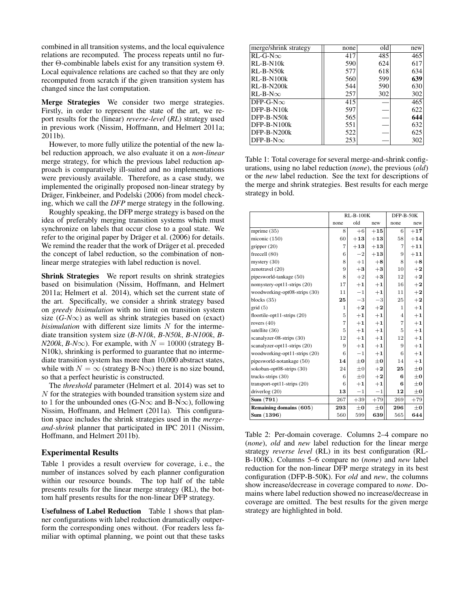combined in all transition systems, and the local equivalence relations are recomputed. The process repeats until no further Θ-combinable labels exist for any transition system Θ. Local equivalence relations are cached so that they are only recomputed from scratch if the given transition system has changed since the last computation.

Merge Strategies We consider two merge strategies. Firstly, in order to represent the state of the art, we report results for the (linear) *reverse-level* (*RL*) strategy used in previous work (Nissim, Hoffmann, and Helmert 2011a; 2011b).

However, to more fully utilize the potential of the new label reduction approach, we also evaluate it on a *non-linear* merge strategy, for which the previous label reduction approach is comparatively ill-suited and no implementations were previously available. Therefore, as a case study, we implemented the originally proposed non-linear strategy by Dräger, Finkbeiner, and Podelski (2006) from model checking, which we call the *DFP* merge strategy in the following.

Roughly speaking, the DFP merge strategy is based on the idea of preferably merging transition systems which must synchronize on labels that occur close to a goal state. We refer to the original paper by Dräger et al. (2006) for details. We remind the reader that the work of Dräger et al. preceded the concept of label reduction, so the combination of nonlinear merge strategies with label reduction is novel.

Shrink Strategies We report results on shrink strategies based on bisimulation (Nissim, Hoffmann, and Helmert 2011a; Helmert et al. 2014), which set the current state of the art. Specifically, we consider a shrink strategy based on *greedy bisimulation* with no limit on transition system size  $(G-N\infty)$  as well as shrink strategies based on (exact) *bisimulation* with different size limits N for the intermediate transition system size (*B-N10k*, *B-N50k*, *B-N100k*, *B-* $N200k$ , *B-N* $\infty$ ). For example, with  $N = 10000$  (strategy B-N10k), shrinking is performed to guarantee that no intermediate transition system has more than 10,000 abstract states, while with  $N = \infty$  (strategy B-N $\infty$ ) there is no size bound, so that a perfect heuristic is constructed.

The *threshold* parameter (Helmert et al. 2014) was set to  $N$  for the strategies with bounded transition system size and to 1 for the unbounded ones (G-N $\infty$  and B-N $\infty$ ), following Nissim, Hoffmann, and Helmert (2011a). This configuration space includes the shrink strategies used in the *mergeand-shrink* planner that participated in IPC 2011 (Nissim, Hoffmann, and Helmert 2011b).

### Experimental Results

Table 1 provides a result overview for coverage, i. e., the number of instances solved by each planner configuration within our resource bounds. The top half of the table presents results for the linear merge strategy (RL), the bottom half presents results for the non-linear DFP strategy.

Usefulness of Label Reduction Table 1 shows that planner configurations with label reduction dramatically outperform the corresponding ones without. (For readers less familiar with optimal planning, we point out that these tasks

| merge/shrink strategy | none | old | new |
|-----------------------|------|-----|-----|
| $RL-G-N\infty$        | 417  | 485 | 465 |
| $RL-B-N10k$           | 590  | 624 | 617 |
| $RL-B-N50k$           | 577  | 618 | 634 |
| $RL-B-N100k$          | 560  | 599 | 639 |
| $R$ L-B-N $200k$      | 544  | 590 | 630 |
| $RL-B-N\infty$        | 257  | 302 | 302 |
| $DFP-G-N\infty$       | 415  |     | 465 |
| $DFP-B-N10k$          | 597  |     | 622 |
| DFP-B-N50k            | 565  |     | 644 |
| $DFP-B-N100k$         | 551  |     | 632 |
| DFP-B-N200k           | 522  |     | 625 |
| $DFP-B-N\infty$       | 253  |     | 302 |

Table 1: Total coverage for several merge-and-shrink configurations, using no label reduction (*none*), the previous (*old*) or the *new* label reduction. See the text for descriptions of the merge and shrink strategies. Best results for each merge strategy in bold.

|                               | $RL-B-100K$    |         |         | $DFP-B-50K$    |         |
|-------------------------------|----------------|---------|---------|----------------|---------|
|                               | none           | old     | new     | none           | new     |
| mprime (35)                   | 8              | $+6$    | $+15$   | 6              | $+17$   |
| miconic (150)                 | 60             | $+13$   | $+13$   | 58             | $+14$   |
| gripper (20)                  | $\overline{7}$ | $+13$   | $+13$   | 7              | $+11$   |
| freecell (80)                 | 6              | $-2$    | $+13$   | 9              | $+11$   |
| $m \times (30)$               | 8              | $+1$    | $+8$    | 8              | $+8$    |
| zenotravel (20)               | 9              | $+3$    | $+3$    | 10             | $+2$    |
| pipesworld-tankage (50)       | 8              | $+2$    | $+3$    | 12             | $+2$    |
| nomystery-opt11-strips (20)   | 17             | $+1$    | $+1$    | 16             | $+2$    |
| woodworking-opt08-strips (30) | 11             | $-1$    | $+1$    | 11             | $+2$    |
| blocks $(35)$                 | 25             | $-3$    | $-3$    | 25             | $+2$    |
| grid(5)                       | $\mathbf{1}$   | $+2$    | $+2$    | 1              | $+1$    |
| floortile-opt11-strips (20)   | 5              | $+1$    | $+1$    | $\overline{4}$ | $+1$    |
| rovers $(40)$                 | $\overline{7}$ | $+1$    | $+1$    | $\overline{7}$ | $+1$    |
| satellite (36)                | 5              | $+1$    | $+1$    | 5              | $+1$    |
| scanalyzer-08-strips (30)     | 12             | $+1$    | $+1$    | 12             | $+1$    |
| scanalyzer-opt11-strips (20)  | 9              | $+1$    | $+1$    | 9              | $+1$    |
| woodworking-opt11-strips (20) | 6              | $-1$    | $+1$    | 6              | $+1$    |
| pipesworld-notankage (50)     | 14             | $\pm 0$ | $\pm 0$ | 14             | $+1$    |
| sokoban-opt08-strips (30)     | 24             | $\pm 0$ | $+2$    | 25             | $\pm 0$ |
| trucks-strips (30)            | 6              | $\pm 0$ | $+2$    | 6              | $\pm 0$ |
| transport-opt11-strips $(20)$ | 6              | $+1$    | $+1$    | 6              | $\pm 0$ |
| driverlog (20)                | 13             | $-1$    | $-1$    | 12             | $\pm 0$ |
| Sum(791)                      | 267            | $+39$   | $+79$   | 269            | $+79$   |
| Remaining domains (605)       | 293            | $\pm 0$ | $\pm 0$ | 296            | $\pm 0$ |
| Sum (1396)                    | 560            | 599     | 639     | 565            | 644     |

Table 2: Per-domain coverage. Columns 2–4 compare no (*none*), *old* and *new* label reduction for the linear merge strategy *reverse level* (RL) in its best configuration (RL-B-100K). Columns 5–6 compare no (*none*) and *new* label reduction for the non-linear DFP merge strategy in its best configuration (DFP-B-50K). For *old* and *new*, the columns show increase/decrease in coverage compared to *none*. Domains where label reduction showed no increase/decrease in coverage are omitted. The best results for the given merge strategy are highlighted in bold.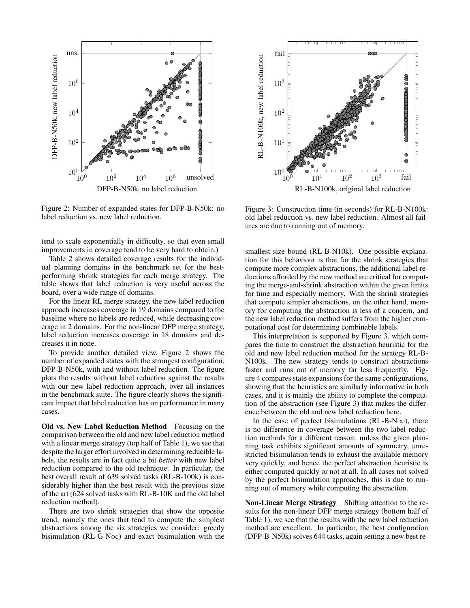

Figure 2: Number of expanded states for DFP-B-N50k: no label reduction vs. new label reduction.

tend to scale exponentially in difficulty, so that even small improvements in coverage tend to be very hard to obtain.)

Table 2 shows detailed coverage results for the individual planning domains in the benchmark set for the bestperforming shrink strategies for each merge strategy. The table shows that label reduction is very useful across the board, over a wide range of domains.

For the linear RL merge strategy, the new label reduction approach increases coverage in 19 domains compared to the baseline where no labels are reduced, while decreasing coverage in 2 domains. For the non-linear DFP merge strategy, label reduction increases coverage in 18 domains and decreases it in none.

To provide another detailed view, Figure 2 shows the number of expanded states with the strongest configuration, DFP-B-N50k, with and without label reduction. The figure plots the results without label reduction against the results with our new label reduction approach, over all instances in the benchmark suite. The figure clearly shows the significant impact that label reduction has on performance in many cases.

Old vs. New Label Reduction Method Focusing on the comparison between the old and new label reduction method with a linear merge strategy (top half of Table 1), we see that despite the larger effort involved in determining reducible labels, the results are in fact quite a bit *better* with new label reduction compared to the old technique. In particular, the best overall result of 639 solved tasks (RL-B-100k) is considerably higher than the best result with the previous state of the art (624 solved tasks with RL-B-10K and the old label reduction method).

There are two shrink strategies that show the opposite trend, namely the ones that tend to compute the simplest abstractions among the six strategies we consider: greedy bisimulation (RL-G-N $\infty$ ) and exact bisimulation with the



Figure 3: Construction time (in seconds) for RL-B-N100k: old label reduction vs. new label reduction. Almost all failures are due to running out of memory.

smallest size bound (RL-B-N10k). One possible explanation for this behaviour is that for the shrink strategies that compute more complex abstractions, the additional label reductions afforded by the new method are critical for computing the merge-and-shrink abstraction within the given limits for time and especially memory. With the shrink strategies that compute simpler abstractions, on the other hand, memory for computing the abstraction is less of a concern, and the new label reduction method suffers from the higher computational cost for determining combinable labels.

This interpretation is supported by Figure 3, which compares the time to construct the abstraction heuristic for the old and new label reduction method for the strategy RL-B-N100k. The new strategy tends to construct abstractions faster and runs out of memory far less frequently. Figure 4 compares state expansions for the same configurations, showing that the heuristics are similarly informative in both cases, and it is mainly the ability to complete the computation of the abstraction (see Figure 3) that makes the difference between the old and new label reduction here.

In the case of perfect bisimulations (RL-B-N $\infty$ ), there is no difference in coverage between the two label reduction methods for a different reason: unless the given planning task exhibits significant amounts of symmetry, unrestricted bisimulation tends to exhaust the available memory very quickly, and hence the perfect abstraction heuristic is either computed quickly or not at all. In all cases not solved by the perfect bisimulation approaches, this is due to running out of memory while computing the abstraction.

Non-Linear Merge Strategy Shifting attention to the results for the non-linear DFP merge strategy (bottom half of Table 1), we see that the results with the new label reduction method are excellent. In particular, the best configuration (DFP-B-N50k) solves 644 tasks, again setting a new best re-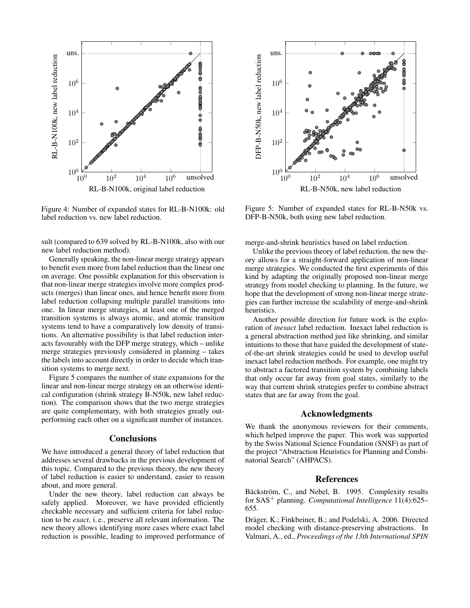

Figure 4: Number of expanded states for RL-B-N100k: old label reduction vs. new label reduction.

sult (compared to 639 solved by RL-B-N100k, also with our new label reduction method).

Generally speaking, the non-linear merge strategy appears to benefit even more from label reduction than the linear one on average. One possible explanation for this observation is that non-linear merge strategies involve more complex products (merges) than linear ones, and hence benefit more from label reduction collapsing multiple parallel transitions into one. In linear merge strategies, at least one of the merged transition systems is always atomic, and atomic transition systems tend to have a comparatively low density of transitions. An alternative possibility is that label reduction interacts favourably with the DFP merge strategy, which – unlike merge strategies previously considered in planning – takes the labels into account directly in order to decide which transition systems to merge next.

Figure 5 compares the number of state expansions for the linear and non-linear merge strategy on an otherwise identical configuration (shrink strategy B-N50k, new label reduction). The comparison shows that the two merge strategies are quite complementary, with both strategies greatly outperforming each other on a significant number of instances.

# **Conclusions**

We have introduced a general theory of label reduction that addresses several drawbacks in the previous development of this topic. Compared to the previous theory, the new theory of label reduction is easier to understand, easier to reason about, and more general.

Under the new theory, label reduction can always be safely applied. Moreover, we have provided efficiently checkable necessary and sufficient criteria for label reduction to be *exact*, i. e., preserve all relevant information. The new theory allows identifying more cases where exact label reduction is possible, leading to improved performance of



Figure 5: Number of expanded states for RL-B-N50k vs. DFP-B-N50k, both using new label reduction.

merge-and-shrink heuristics based on label reduction.

Unlike the previous theory of label reduction, the new theory allows for a straight-forward application of non-linear merge strategies. We conducted the first experiments of this kind by adapting the originally proposed non-linear merge strategy from model checking to planning. In the future, we hope that the development of strong non-linear merge strategies can further increase the scalability of merge-and-shrink heuristics.

Another possible direction for future work is the exploration of *inexact* label reduction. Inexact label reduction is a general abstraction method just like shrinking, and similar intuitions to those that have guided the development of stateof-the-art shrink strategies could be used to develop useful inexact label reduction methods. For example, one might try to abstract a factored transition system by combining labels that only occur far away from goal states, similarly to the way that current shrink strategies prefer to combine abstract states that are far away from the goal.

# Acknowledgments

We thank the anonymous reviewers for their comments, which helped improve the paper. This work was supported by the Swiss National Science Foundation (SNSF) as part of the project "Abstraction Heuristics for Planning and Combinatorial Search" (AHPACS).

#### References

Bäckström, C., and Nebel, B. 1995. Complexity results for SAS<sup>+</sup> planning. *Computational Intelligence* 11(4):625– 655.

Dräger, K.; Finkbeiner, B.; and Podelski, A. 2006. Directed model checking with distance-preserving abstractions. In Valmari, A., ed., *Proceedings of the 13th International SPIN*